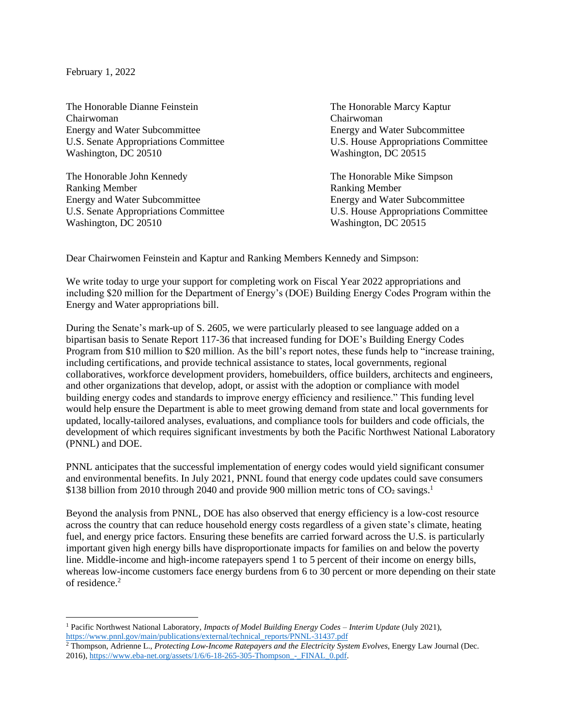February 1, 2022

The Honorable Dianne Feinstein The Honorable Marcy Kaptur Chairwoman Chairwoman Energy and Water Subcommittee Energy and Water Subcommittee Washington, DC 20510 Washington, DC 20515

The Honorable John Kennedy The Honorable Mike Simpson Ranking Member Ranking Member Energy and Water Subcommittee Energy and Water Subcommittee U.S. Senate Appropriations Committee U.S. House Appropriations Committee Washington, DC 20510 Washington, DC 20515

U.S. Senate Appropriations Committee U.S. House Appropriations Committee

Dear Chairwomen Feinstein and Kaptur and Ranking Members Kennedy and Simpson:

We write today to urge your support for completing work on Fiscal Year 2022 appropriations and including \$20 million for the Department of Energy's (DOE) Building Energy Codes Program within the Energy and Water appropriations bill.

During the Senate's mark-up of S. 2605, we were particularly pleased to see language added on a bipartisan basis to Senate Report 117-36 that increased funding for DOE's Building Energy Codes Program from \$10 million to \$20 million. As the bill's report notes, these funds help to "increase training, including certifications, and provide technical assistance to states, local governments, regional collaboratives, workforce development providers, homebuilders, office builders, architects and engineers, and other organizations that develop, adopt, or assist with the adoption or compliance with model building energy codes and standards to improve energy efficiency and resilience." This funding level would help ensure the Department is able to meet growing demand from state and local governments for updated, locally-tailored analyses, evaluations, and compliance tools for builders and code officials, the development of which requires significant investments by both the Pacific Northwest National Laboratory (PNNL) and DOE.

PNNL anticipates that the successful implementation of energy codes would yield significant consumer and environmental benefits. In July 2021, PNNL found that energy code updates could save consumers \$138 billion from 2010 through 2040 and provide 900 million metric tons of CO2 savings.<sup>1</sup>

Beyond the analysis from PNNL, DOE has also observed that energy efficiency is a low-cost resource across the country that can reduce household energy costs regardless of a given state's climate, heating fuel, and energy price factors. Ensuring these benefits are carried forward across the U.S. is particularly important given high energy bills have disproportionate impacts for families on and below the poverty line. Middle-income and high-income ratepayers spend 1 to 5 percent of their income on energy bills, whereas low-income customers face energy burdens from 6 to 30 percent or more depending on their state of residence.<sup>2</sup>

<sup>1</sup> Pacific Northwest National Laboratory, *Impacts of Model Building Energy Codes – Interim Update* (July 2021), [https://www.pnnl.gov/main/publications/external/technical\\_reports/PNNL-31437.pdf](https://www.pnnl.gov/main/publications/external/technical_reports/PNNL-31437.pdf)

<sup>2</sup> Thompson, Adrienne L., *Protecting Low-Income Ratepayers and the Electricity System Evolves*, Energy Law Journal (Dec. 2016), https://www.eba-net.org/assets/1/6/6-18-265-305-Thompson - FINAL\_0.pdf.